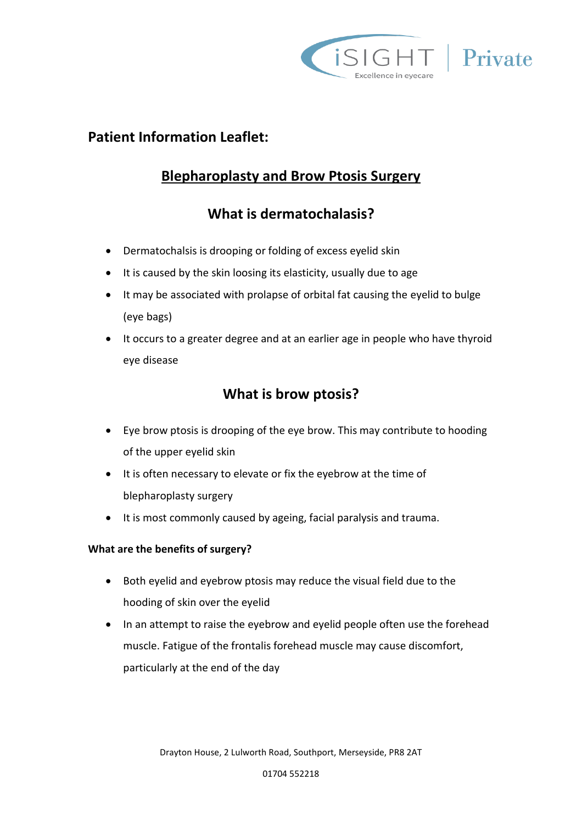

### **Patient Information Leaflet:**

# **Blepharoplasty and Brow Ptosis Surgery**

# **What is dermatochalasis?**

- Dermatochalsis is drooping or folding of excess eyelid skin
- It is caused by the skin loosing its elasticity, usually due to age
- It may be associated with prolapse of orbital fat causing the eyelid to bulge (eye bags)
- It occurs to a greater degree and at an earlier age in people who have thyroid eye disease

### **What is brow ptosis?**

- Eye brow ptosis is drooping of the eye brow. This may contribute to hooding of the upper eyelid skin
- It is often necessary to elevate or fix the eyebrow at the time of blepharoplasty surgery
- It is most commonly caused by ageing, facial paralysis and trauma.

### **What are the benefits of surgery?**

- Both eyelid and eyebrow ptosis may reduce the visual field due to the hooding of skin over the eyelid
- In an attempt to raise the eyebrow and eyelid people often use the forehead muscle. Fatigue of the frontalis forehead muscle may cause discomfort, particularly at the end of the day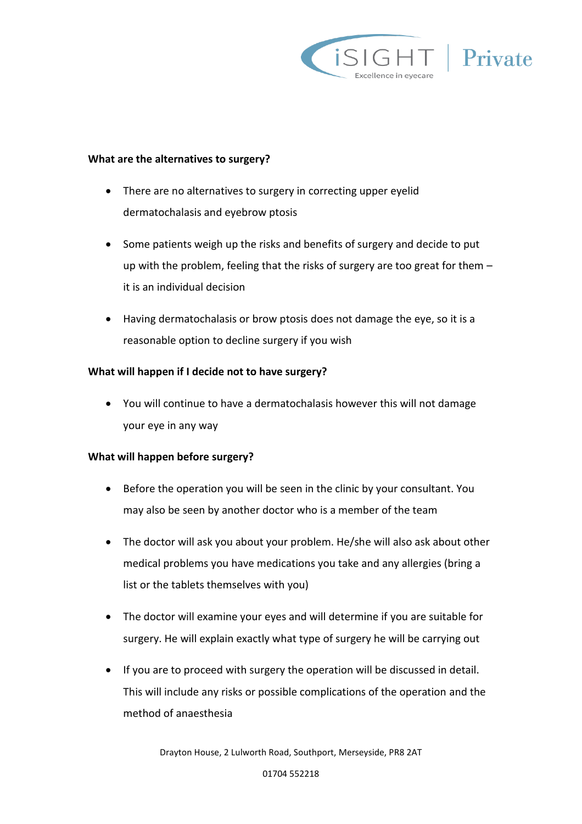

#### **What are the alternatives to surgery?**

- There are no alternatives to surgery in correcting upper eyelid dermatochalasis and eyebrow ptosis
- Some patients weigh up the risks and benefits of surgery and decide to put up with the problem, feeling that the risks of surgery are too great for them – it is an individual decision
- Having dermatochalasis or brow ptosis does not damage the eye, so it is a reasonable option to decline surgery if you wish

#### **What will happen if I decide not to have surgery?**

 You will continue to have a dermatochalasis however this will not damage your eye in any way

#### **What will happen before surgery?**

- Before the operation you will be seen in the clinic by your consultant. You may also be seen by another doctor who is a member of the team
- The doctor will ask you about your problem. He/she will also ask about other medical problems you have medications you take and any allergies (bring a list or the tablets themselves with you)
- The doctor will examine your eyes and will determine if you are suitable for surgery. He will explain exactly what type of surgery he will be carrying out
- If you are to proceed with surgery the operation will be discussed in detail. This will include any risks or possible complications of the operation and the method of anaesthesia

Drayton House, 2 Lulworth Road, Southport, Merseyside, PR8 2AT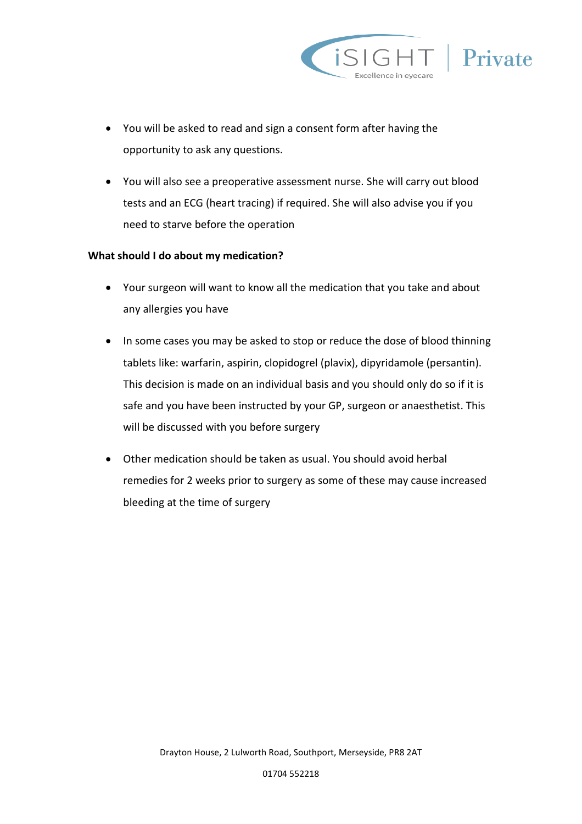

- You will be asked to read and sign a consent form after having the opportunity to ask any questions.
- You will also see a preoperative assessment nurse. She will carry out blood tests and an ECG (heart tracing) if required. She will also advise you if you need to starve before the operation

#### **What should I do about my medication?**

- Your surgeon will want to know all the medication that you take and about any allergies you have
- In some cases you may be asked to stop or reduce the dose of blood thinning tablets like: warfarin, aspirin, clopidogrel (plavix), dipyridamole (persantin). This decision is made on an individual basis and you should only do so if it is safe and you have been instructed by your GP, surgeon or anaesthetist. This will be discussed with you before surgery
- Other medication should be taken as usual. You should avoid herbal remedies for 2 weeks prior to surgery as some of these may cause increased bleeding at the time of surgery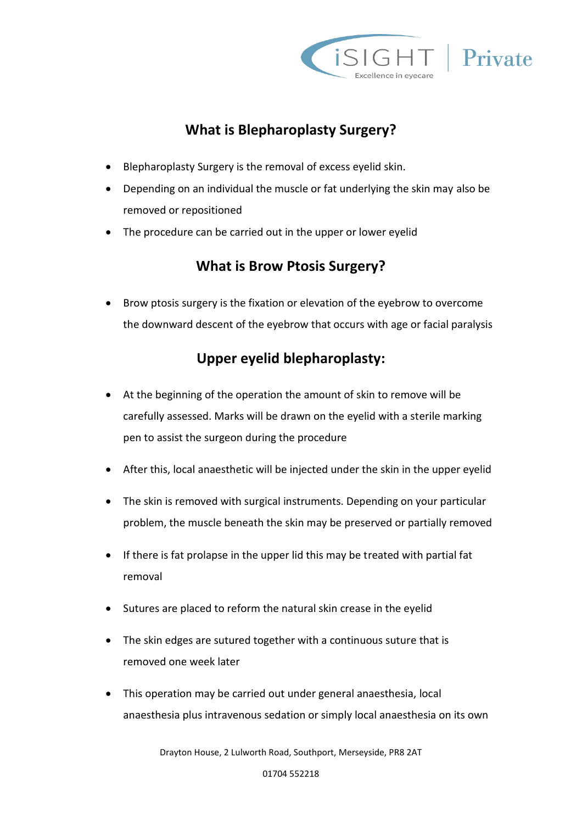

## **What is Blepharoplasty Surgery?**

- Blepharoplasty Surgery is the removal of excess eyelid skin.
- Depending on an individual the muscle or fat underlying the skin may also be removed or repositioned
- The procedure can be carried out in the upper or lower eyelid

### **What is Brow Ptosis Surgery?**

 Brow ptosis surgery is the fixation or elevation of the eyebrow to overcome the downward descent of the eyebrow that occurs with age or facial paralysis

### **Upper eyelid blepharoplasty:**

- At the beginning of the operation the amount of skin to remove will be carefully assessed. Marks will be drawn on the eyelid with a sterile marking pen to assist the surgeon during the procedure
- After this, local anaesthetic will be injected under the skin in the upper eyelid
- The skin is removed with surgical instruments. Depending on your particular problem, the muscle beneath the skin may be preserved or partially removed
- If there is fat prolapse in the upper lid this may be treated with partial fat removal
- Sutures are placed to reform the natural skin crease in the eyelid
- The skin edges are sutured together with a continuous suture that is removed one week later
- This operation may be carried out under general anaesthesia, local anaesthesia plus intravenous sedation or simply local anaesthesia on its own

Drayton House, 2 Lulworth Road, Southport, Merseyside, PR8 2AT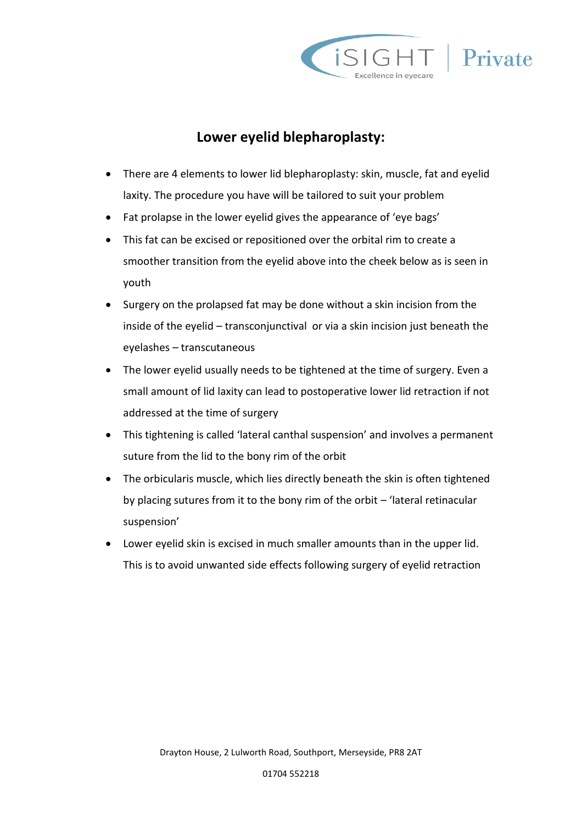

### **Lower eyelid blepharoplasty:**

- There are 4 elements to lower lid blepharoplasty: skin, muscle, fat and eyelid laxity. The procedure you have will be tailored to suit your problem
- Fat prolapse in the lower eyelid gives the appearance of 'eye bags'
- This fat can be excised or repositioned over the orbital rim to create a smoother transition from the eyelid above into the cheek below as is seen in youth
- Surgery on the prolapsed fat may be done without a skin incision from the inside of the eyelid – transconjunctival or via a skin incision just beneath the eyelashes – transcutaneous
- The lower eyelid usually needs to be tightened at the time of surgery. Even a small amount of lid laxity can lead to postoperative lower lid retraction if not addressed at the time of surgery
- This tightening is called 'lateral canthal suspension' and involves a permanent suture from the lid to the bony rim of the orbit
- The orbicularis muscle, which lies directly beneath the skin is often tightened by placing sutures from it to the bony rim of the orbit – 'lateral retinacular suspension'
- Lower eyelid skin is excised in much smaller amounts than in the upper lid. This is to avoid unwanted side effects following surgery of eyelid retraction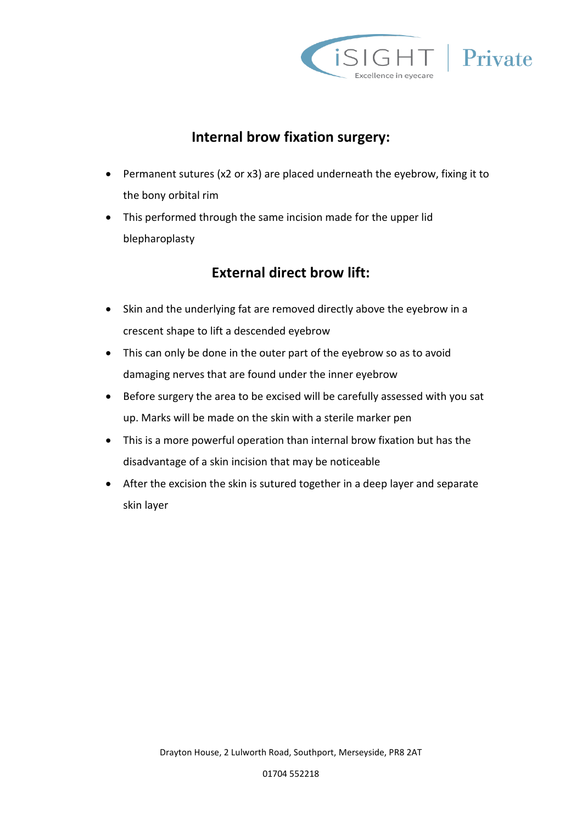

### **Internal brow fixation surgery:**

- Permanent sutures (x2 or x3) are placed underneath the eyebrow, fixing it to the bony orbital rim
- This performed through the same incision made for the upper lid blepharoplasty

### **External direct brow lift:**

- Skin and the underlying fat are removed directly above the eyebrow in a crescent shape to lift a descended eyebrow
- This can only be done in the outer part of the eyebrow so as to avoid damaging nerves that are found under the inner eyebrow
- Before surgery the area to be excised will be carefully assessed with you sat up. Marks will be made on the skin with a sterile marker pen
- This is a more powerful operation than internal brow fixation but has the disadvantage of a skin incision that may be noticeable
- After the excision the skin is sutured together in a deep layer and separate skin layer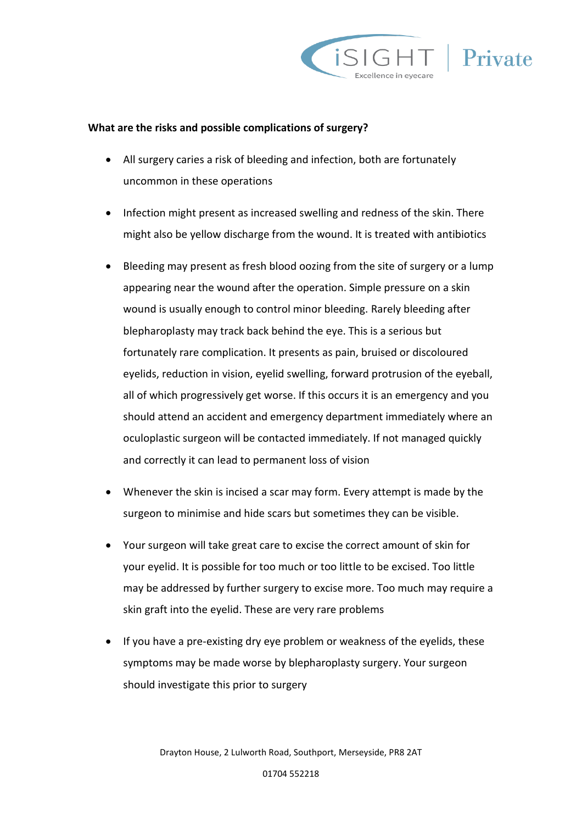

#### **What are the risks and possible complications of surgery?**

- All surgery caries a risk of bleeding and infection, both are fortunately uncommon in these operations
- Infection might present as increased swelling and redness of the skin. There might also be yellow discharge from the wound. It is treated with antibiotics
- Bleeding may present as fresh blood oozing from the site of surgery or a lump appearing near the wound after the operation. Simple pressure on a skin wound is usually enough to control minor bleeding. Rarely bleeding after blepharoplasty may track back behind the eye. This is a serious but fortunately rare complication. It presents as pain, bruised or discoloured eyelids, reduction in vision, eyelid swelling, forward protrusion of the eyeball, all of which progressively get worse. If this occurs it is an emergency and you should attend an accident and emergency department immediately where an oculoplastic surgeon will be contacted immediately. If not managed quickly and correctly it can lead to permanent loss of vision
- Whenever the skin is incised a scar may form. Every attempt is made by the surgeon to minimise and hide scars but sometimes they can be visible.
- Your surgeon will take great care to excise the correct amount of skin for your eyelid. It is possible for too much or too little to be excised. Too little may be addressed by further surgery to excise more. Too much may require a skin graft into the eyelid. These are very rare problems
- If you have a pre-existing dry eye problem or weakness of the eyelids, these symptoms may be made worse by blepharoplasty surgery. Your surgeon should investigate this prior to surgery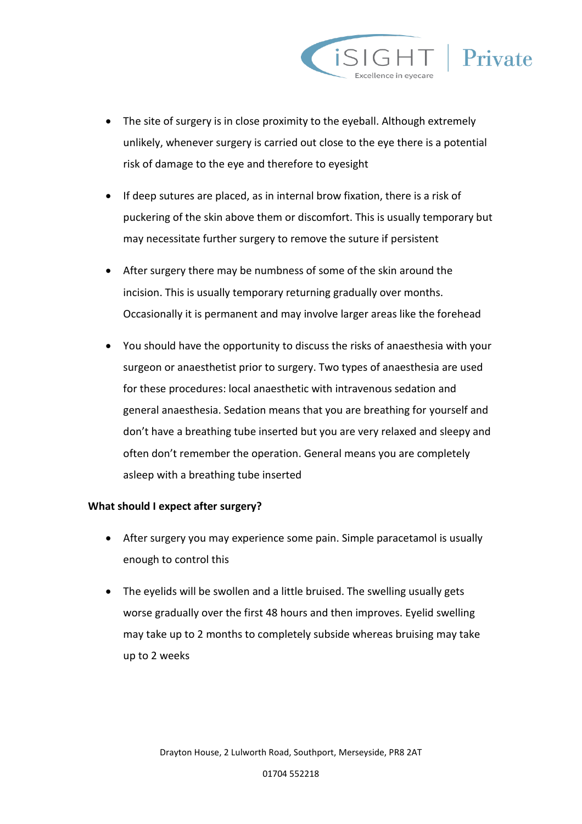



- If deep sutures are placed, as in internal brow fixation, there is a risk of puckering of the skin above them or discomfort. This is usually temporary but may necessitate further surgery to remove the suture if persistent
- After surgery there may be numbness of some of the skin around the incision. This is usually temporary returning gradually over months. Occasionally it is permanent and may involve larger areas like the forehead
- You should have the opportunity to discuss the risks of anaesthesia with your surgeon or anaesthetist prior to surgery. Two types of anaesthesia are used for these procedures: local anaesthetic with intravenous sedation and general anaesthesia. Sedation means that you are breathing for yourself and don't have a breathing tube inserted but you are very relaxed and sleepy and often don't remember the operation. General means you are completely asleep with a breathing tube inserted

#### **What should I expect after surgery?**

- After surgery you may experience some pain. Simple paracetamol is usually enough to control this
- The eyelids will be swollen and a little bruised. The swelling usually gets worse gradually over the first 48 hours and then improves. Eyelid swelling may take up to 2 months to completely subside whereas bruising may take up to 2 weeks